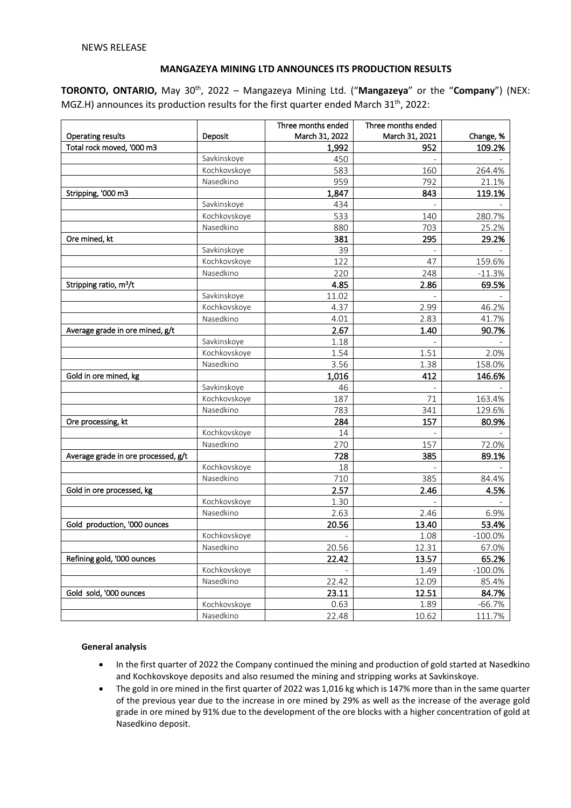# **MANGAZEYA MINING LTD ANNOUNCES ITS PRODUCTION RESULTS**

**TORONTO, ONTARIO,** May 30th, 2022 – Mangazeya Mining Ltd. ("**Mangazeya**" or the "**Company**") (NEX: MGZ.H) announces its production results for the first quarter ended March  $31<sup>th</sup>$ , 2022:

|                                     |              | Three months ended | Three months ended |            |
|-------------------------------------|--------------|--------------------|--------------------|------------|
| <b>Operating results</b>            | Deposit      | March 31, 2022     | March 31, 2021     | Change, %  |
| Total rock moved, '000 m3           |              | 1,992              | 952                | 109.2%     |
|                                     | Savkinskoye  | 450                |                    |            |
|                                     | Kochkovskoye | 583                | 160                | 264.4%     |
|                                     | Nasedkino    | 959                | 792                | 21.1%      |
| Stripping, '000 m3                  |              | 1,847              | 843                | 119.1%     |
|                                     | Savkinskoye  | 434                |                    |            |
|                                     | Kochkovskoye | 533                | 140                | 280.7%     |
|                                     | Nasedkino    | 880                | 703                | 25.2%      |
| Ore mined, kt                       |              | 381                | 295                | 29.2%      |
|                                     | Savkinskoye  | 39                 |                    |            |
|                                     | Kochkovskoye | 122                | 47                 | 159.6%     |
|                                     | Nasedkino    | 220                | 248                | $-11.3%$   |
| Stripping ratio, m <sup>3</sup> /t  |              | 4.85               | 2.86               | 69.5%      |
|                                     | Savkinskoye  | 11.02              |                    |            |
|                                     | Kochkovskoye | 4.37               | 2.99               | 46.2%      |
|                                     | Nasedkino    | 4.01               | 2.83               | 41.7%      |
| Average grade in ore mined, g/t     |              | 2.67               | 1.40               | 90.7%      |
|                                     | Savkinskoye  | 1.18               |                    |            |
|                                     | Kochkovskoye | 1.54               | 1.51               | 2.0%       |
|                                     | Nasedkino    | 3.56               | 1.38               | 158.0%     |
| Gold in ore mined, kg               |              | 1,016              | 412                | 146.6%     |
|                                     | Savkinskoye  | 46                 |                    |            |
|                                     | Kochkovskoye | 187                | 71                 | 163.4%     |
|                                     | Nasedkino    | 783                | 341                | 129.6%     |
| Ore processing, kt                  |              | 284                | 157                | 80.9%      |
|                                     | Kochkovskoye | 14                 |                    |            |
|                                     | Nasedkino    | 270                | 157                | 72.0%      |
| Average grade in ore processed, g/t |              | 728                | 385                | 89.1%      |
|                                     | Kochkovskoye | 18                 |                    |            |
|                                     | Nasedkino    | 710                | 385                | 84.4%      |
| Gold in ore processed, kg           |              | 2.57               | 2.46               | 4.5%       |
|                                     | Kochkovskoye | 1.30               |                    |            |
|                                     | Nasedkino    | 2.63               | 2.46               | 6.9%       |
| Gold production, '000 ounces        |              | 20.56              | 13.40              | 53.4%      |
|                                     | Kochkovskoye |                    | 1.08               | $-100.0%$  |
|                                     | Nasedkino    | 20.56              | 12.31              | 67.0%      |
| Refining gold, '000 ounces          |              | 22.42              | 13.57              | 65.2%      |
|                                     | Kochkovskoye |                    | 1.49               | $-100.0\%$ |
|                                     | Nasedkino    | 22.42              | 12.09              | 85.4%      |
| Gold sold, '000 ounces              |              | 23.11              | 12.51              | 84.7%      |
|                                     | Kochkovskoye | 0.63               | 1.89               | $-66.7%$   |
|                                     | Nasedkino    | 22.48              | 10.62              | 111.7%     |

## **General analysis**

- In the first quarter of 2022 the Company continued the mining and production of gold started at Nasedkino and Kochkovskoye deposits and also resumed the mining and stripping works at Savkinskoye.
- The gold in ore mined in the first quarter of 2022 was 1,016 kg which is 147% more than in the same quarter of the previous year due to the increase in ore mined by 29% as well as the increase of the average gold grade in ore mined by 91% due to the development of the ore blocks with a higher concentration of gold at Nasedkino deposit.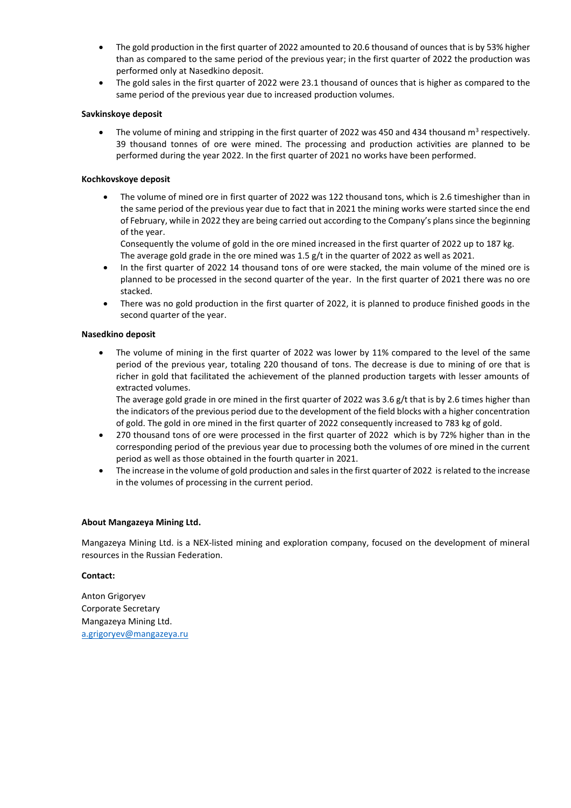- The gold production in the first quarter of 2022 amounted to 20.6 thousand of ounces that is by 53% higher than as compared to the same period of the previous year; in the first quarter of 2022 the production was performed only at Nasedkino deposit.
- The gold sales in the first quarter of 2022 were 23.1 thousand of ounces that is higher as compared to the same period of the previous year due to increased production volumes.

### **Savkinskoye deposit**

• The volume of mining and stripping in the first quarter of 2022 was 450 and 434 thousand  $m^3$  respectively. 39 thousand tonnes of ore were mined. The processing and production activities are planned to be performed during the year 2022. In the first quarter of 2021 no works have been performed.

### **Kochkovskoye deposit**

• The volume of mined ore in first quarter of 2022 was 122 thousand tons, which is 2.6 timeshigher than in the same period of the previous year due to fact that in 2021 the mining works were started since the end of February, while in 2022 they are being carried out according to the Company's plans since the beginning of the year.

Consequently the volume of gold in the ore mined increased in the first quarter of 2022 up to 187 kg. The average gold grade in the ore mined was 1.5 g/t in the quarter of 2022 as well as 2021.

- In the first quarter of 2022 14 thousand tons of ore were stacked, the main volume of the mined ore is planned to be processed in the second quarter of the year. In the first quarter of 2021 there was no ore stacked.
- There was no gold production in the first quarter of 2022, it is planned to produce finished goods in the second quarter of the year.

### **Nasedkino deposit**

The volume of mining in the first quarter of 2022 was lower by 11% compared to the level of the same period of the previous year, totaling 220 thousand of tons. The decrease is due to mining of ore that is richer in gold that facilitated the achievement of the planned production targets with lesser amounts of extracted volumes.

The average gold grade in ore mined in the first quarter of 2022 was 3.6 g/t that is by 2.6 times higher than the indicators of the previous period due to the development of the field blocks with a higher concentration of gold. The gold in ore mined in the first quarter of 2022 consequently increased to 783 kg of gold.

- 270 thousand tons of ore were processed in the first quarter of 2022 which is by 72% higher than in the corresponding period of the previous year due to processing both the volumes of ore mined in the current period as well as those obtained in the fourth quarter in 2021.
- The increase in the volume of gold production and sales in the first quarter of 2022 is related to the increase in the volumes of processing in the current period.

#### **About Mangazeya Mining Ltd.**

Mangazeya Mining Ltd. is a NEX-listed mining and exploration company, focused on the development of mineral resources in the Russian Federation.

### **Contact:**

Anton Grigoryev Corporate Secretary Mangazeya Mining Ltd. a.grigoryev@mangazeya.ru